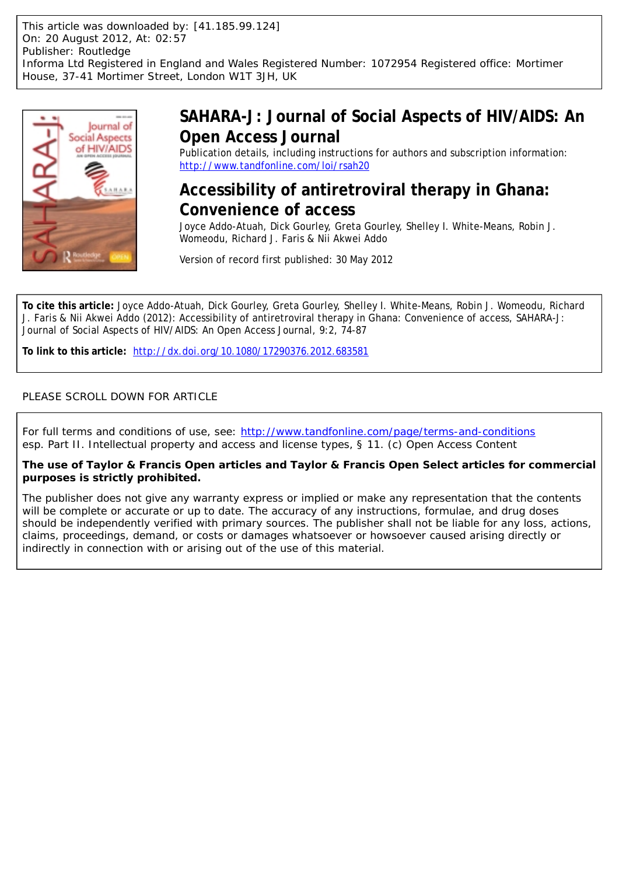

# **SAHARA-J: Journal of Social Aspects of HIV/AIDS: An Open Access Journal**

Publication details, including instructions for authors and subscription information: <http://www.tandfonline.com/loi/rsah20>

# **Accessibility of antiretroviral therapy in Ghana: Convenience of access**

Joyce Addo-Atuah, Dick Gourley, Greta Gourley, Shelley I. White-Means, Robin J. Womeodu, Richard J. Faris & Nii Akwei Addo

Version of record first published: 30 May 2012

**To cite this article:** Joyce Addo-Atuah, Dick Gourley, Greta Gourley, Shelley I. White-Means, Robin J. Womeodu, Richard J. Faris & Nii Akwei Addo (2012): Accessibility of antiretroviral therapy in Ghana: Convenience of access, SAHARA-J: Journal of Social Aspects of HIV/AIDS: An Open Access Journal, 9:2, 74-87

**To link to this article:** <http://dx.doi.org/10.1080/17290376.2012.683581>

# PLEASE SCROLL DOWN FOR ARTICLE

For full terms and conditions of use, see: <http://www.tandfonline.com/page/terms-and-conditions> *esp.* Part II. Intellectual property and access and license types, § 11. (c) Open Access Content

**The use of Taylor & Francis Open articles and Taylor & Francis Open Select articles for commercial purposes is strictly prohibited.**

The publisher does not give any warranty express or implied or make any representation that the contents will be complete or accurate or up to date. The accuracy of any instructions, formulae, and drug doses should be independently verified with primary sources. The publisher shall not be liable for any loss, actions, claims, proceedings, demand, or costs or damages whatsoever or howsoever caused arising directly or indirectly in connection with or arising out of the use of this material.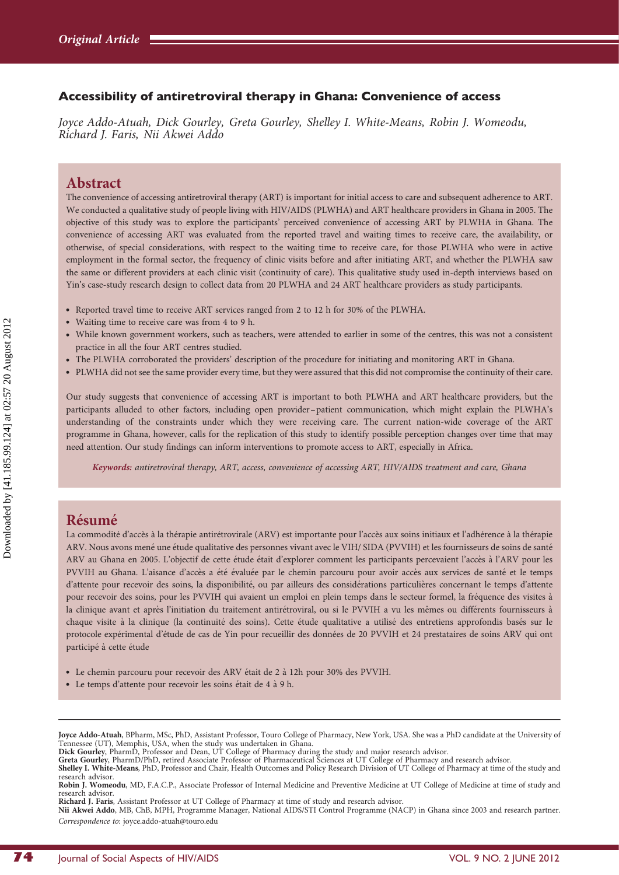## Accessibility of antiretroviral therapy in Ghana: Convenience of access

Joyce Addo-Atuah, Dick Gourley, Greta Gourley, Shelley I. White-Means, Robin J. Womeodu, Richard J. Faris, Nii Akwei Addo

## Abstract

The convenience of accessing antiretroviral therapy (ART) is important for initial access to care and subsequent adherence to ART. We conducted a qualitative study of people living with HIV/AIDS (PLWHA) and ART healthcare providers in Ghana in 2005. The objective of this study was to explore the participants' perceived convenience of accessing ART by PLWHA in Ghana. The convenience of accessing ART was evaluated from the reported travel and waiting times to receive care, the availability, or otherwise, of special considerations, with respect to the waiting time to receive care, for those PLWHA who were in active employment in the formal sector, the frequency of clinic visits before and after initiating ART, and whether the PLWHA saw the same or different providers at each clinic visit (continuity of care). This qualitative study used in-depth interviews based on Yin's case-study research design to collect data from 20 PLWHA and 24 ART healthcare providers as study participants.

- . Reported travel time to receive ART services ranged from 2 to 12 h for 30% of the PLWHA.
- . Waiting time to receive care was from 4 to 9 h.
- . While known government workers, such as teachers, were attended to earlier in some of the centres, this was not a consistent practice in all the four ART centres studied.
- . The PLWHA corroborated the providers' description of the procedure for initiating and monitoring ART in Ghana.
- . PLWHA did not see the same provider every time, but they were assured that this did not compromise the continuity of their care.

Our study suggests that convenience of accessing ART is important to both PLWHA and ART healthcare providers, but the participants alluded to other factors, including open provider–patient communication, which might explain the PLWHA's understanding of the constraints under which they were receiving care. The current nation-wide coverage of the ART programme in Ghana, however, calls for the replication of this study to identify possible perception changes over time that may need attention. Our study findings can inform interventions to promote access to ART, especially in Africa.

Keywords: antiretroviral therapy, ART, access, convenience of accessing ART, HIV/AIDS treatment and care, Ghana

# Résumé

La commodité d'accès à la thérapie antirétrovirale (ARV) est importante pour l'accès aux soins initiaux et l'adhérence à la thérapie ARV. Nous avons mené une étude qualitative des personnes vivant avec le VIH/ SIDA (PVVIH) et les fournisseurs de soins de santé ARV au Ghana en 2005. L'objectif de cette étude était d'explorer comment les participants percevaient l'accès à l'ARV pour les PVVIH au Ghana. L'aisance d'accès a été évaluée par le chemin parcouru pour avoir accès aux services de santé et le temps d'attente pour recevoir des soins, la disponibilité, ou par ailleurs des considérations particulières concernant le temps d'attente pour recevoir des soins, pour les PVVIH qui avaient un emploi en plein temps dans le secteur formel, la fréquence des visites à la clinique avant et après l'initiation du traitement antirétroviral, ou si le PVVIH a vu les mêmes ou différents fournisseurs à chaque visite à la clinique (la continuité des soins). Cette étude qualitative a utilisé des entretiens approfondis basés sur le protocole expérimental d'étude de cas de Yin pour recueillir des données de 20 PVVIH et 24 prestataires de soins ARV qui ont participé à cette étude

- · Le chemin parcouru pour recevoir des ARV était de 2 à 12h pour 30% des PVVIH.
- Le temps d'attente pour recevoir les soins était de 4 à 9 h.

Joyce Addo-Atuah, BPharm, MSc, PhD, Assistant Professor, Touro College of Pharmacy, New York, USA. She was a PhD candidate at the University of Tennessee (UT), Memphis, USA, when the study was undertaken in Ghana.<br>**Dick Gourley**, PharmD, Professor and Dean, UT College of Pharmacy during the study and major research advisor.<br>**Greta Gourley**, PharmD/PhD, retired Ass

Shelley I. White-Means, PhD, Professor and Chair, Health Outcomes and Policy Research Division of UT College of Pharmacy at time of the study and research advisor.

Robin J. Womeodu, MD, F.A.C.P., Associate Professor of Internal Medicine and Preventive Medicine at UT College of Medicine at time of study and research advisor.

Richard J. Faris, Assistant Professor at UT College of Pharmacy at time of study and research advisor.

Nii Akwei Addo, MB, ChB, MPH, Programme Manager, National AIDS/STI Control Programme (NACP) in Ghana since 2003 and research partner. Correspondence to: joyce.addo-atuah@touro.edu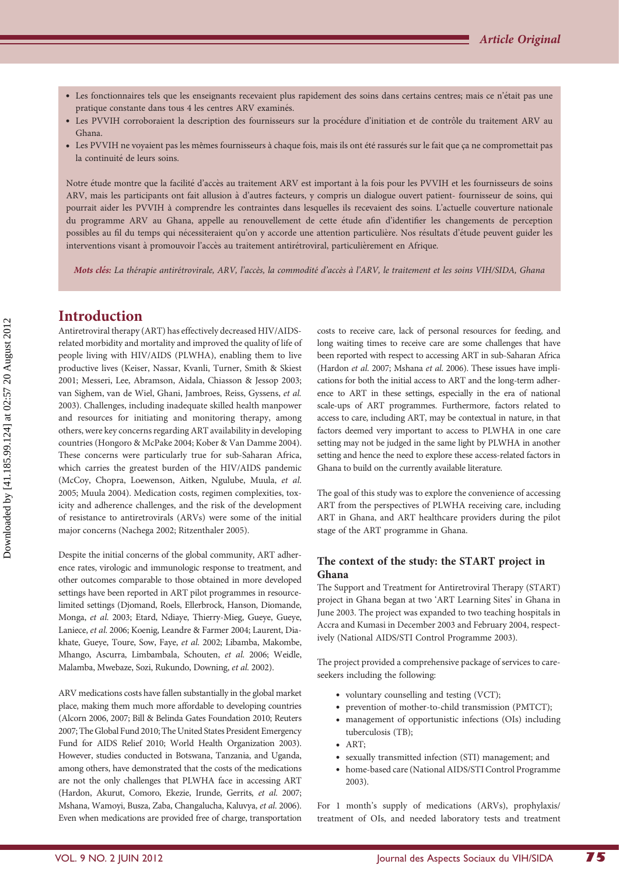- · Les fonctionnaires tels que les enseignants recevaient plus rapidement des soins dans certains centres; mais ce n'était pas une pratique constante dans tous 4 les centres ARV examinés.
- · Les PVVIH corroboraient la description des fournisseurs sur la procédure d'initiation et de contrôle du traitement ARV au Ghana.
- Les PVVIH ne voyaient pas les mêmes fournisseurs à chaque fois, mais ils ont été rassurés sur le fait que ca ne compromettait pas la continuité de leurs soins.

Notre étude montre que la facilité d'accès au traitement ARV est important à la fois pour les PVVIH et les fournisseurs de soins ARV, mais les participants ont fait allusion à d'autres facteurs, y compris un dialogue ouvert patient- fournisseur de soins, qui pourrait aider les PVVIH à comprendre les contraintes dans lesquelles ils recevaient des soins. L'actuelle couverture nationale du programme ARV au Ghana, appelle au renouvellement de cette étude afin d'identifier les changements de perception possibles au fil du temps qui nécessiteraient qu'on y accorde une attention particulière. Nos résultats d'étude peuvent guider les interventions visant à promouvoir l'accès au traitement antirétroviral, particulièrement en Afrique.

Mots clés: La thérapie antirétrovirale, ARV, l'accès, la commodité d'accès à l'ARV, le traitement et les soins VIH/SIDA, Ghana

# Introduction

Antiretroviral therapy (ART) has effectively decreased HIV/AIDSrelated morbidity and mortality and improved the quality of life of people living with HIV/AIDS (PLWHA), enabling them to live productive lives (Keiser, Nassar, Kvanli, Turner, Smith & Skiest 2001; Messeri, Lee, Abramson, Aidala, Chiasson & Jessop 2003; van Sighem, van de Wiel, Ghani, Jambroes, Reiss, Gyssens, et al. 2003). Challenges, including inadequate skilled health manpower and resources for initiating and monitoring therapy, among others, were key concerns regarding ART availability in developing countries (Hongoro & McPake 2004; Kober & Van Damme 2004). These concerns were particularly true for sub-Saharan Africa, which carries the greatest burden of the HIV/AIDS pandemic (McCoy, Chopra, Loewenson, Aitken, Ngulube, Muula, et al. 2005; Muula 2004). Medication costs, regimen complexities, toxicity and adherence challenges, and the risk of the development of resistance to antiretrovirals (ARVs) were some of the initial major concerns (Nachega 2002; Ritzenthaler 2005).

Despite the initial concerns of the global community, ART adherence rates, virologic and immunologic response to treatment, and other outcomes comparable to those obtained in more developed settings have been reported in ART pilot programmes in resourcelimited settings (Djomand, Roels, Ellerbrock, Hanson, Diomande, Monga, et al. 2003; Etard, Ndiaye, Thierry-Mieg, Gueye, Gueye, Laniece, et al. 2006; Koenig, Leandre & Farmer 2004; Laurent, Diakhate, Gueye, Toure, Sow, Faye, et al. 2002; Libamba, Makombe, Mhango, Ascurra, Limbambala, Schouten, et al. 2006; Weidle, Malamba, Mwebaze, Sozi, Rukundo, Downing, et al. 2002).

ARV medications costs have fallen substantially in the global market place, making them much more affordable to developing countries (Alcorn 2006, 2007; Bill & Belinda Gates Foundation 2010; Reuters 2007; The Global Fund 2010; The United States President Emergency Fund for AIDS Relief 2010; World Health Organization 2003). However, studies conducted in Botswana, Tanzania, and Uganda, among others, have demonstrated that the costs of the medications are not the only challenges that PLWHA face in accessing ART (Hardon, Akurut, Comoro, Ekezie, Irunde, Gerrits, et al. 2007; Mshana, Wamoyi, Busza, Zaba, Changalucha, Kaluvya, et al. 2006). Even when medications are provided free of charge, transportation

costs to receive care, lack of personal resources for feeding, and long waiting times to receive care are some challenges that have been reported with respect to accessing ART in sub-Saharan Africa (Hardon et al. 2007; Mshana et al. 2006). These issues have implications for both the initial access to ART and the long-term adherence to ART in these settings, especially in the era of national scale-ups of ART programmes. Furthermore, factors related to access to care, including ART, may be contextual in nature, in that factors deemed very important to access to PLWHA in one care setting may not be judged in the same light by PLWHA in another setting and hence the need to explore these access-related factors in Ghana to build on the currently available literature.

The goal of this study was to explore the convenience of accessing ART from the perspectives of PLWHA receiving care, including ART in Ghana, and ART healthcare providers during the pilot stage of the ART programme in Ghana.

#### The context of the study: the START project in Ghana

The Support and Treatment for Antiretroviral Therapy (START) project in Ghana began at two 'ART Learning Sites' in Ghana in June 2003. The project was expanded to two teaching hospitals in Accra and Kumasi in December 2003 and February 2004, respectively (National AIDS/STI Control Programme 2003).

The project provided a comprehensive package of services to careseekers including the following:

- . voluntary counselling and testing (VCT);
- . prevention of mother-to-child transmission (PMTCT);
- . management of opportunistic infections (OIs) including tuberculosis (TB);
- . ART;
- . sexually transmitted infection (STI) management; and
- . home-based care (National AIDS/STI Control Programme 2003).

For 1 month's supply of medications (ARVs), prophylaxis/ treatment of OIs, and needed laboratory tests and treatment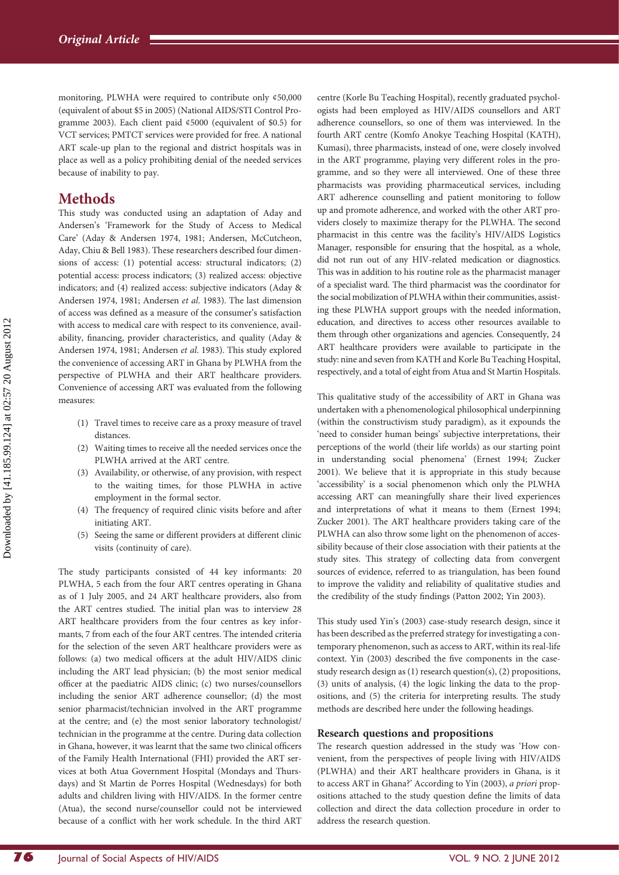monitoring, PLWHA were required to contribute only ¢50,000 (equivalent of about \$5 in 2005) (National AIDS/STI Control Programme 2003). Each client paid ¢5000 (equivalent of \$0.5) for VCT services; PMTCT services were provided for free. A national ART scale-up plan to the regional and district hospitals was in place as well as a policy prohibiting denial of the needed services because of inability to pay.

# **Methods**

This study was conducted using an adaptation of Aday and Andersen's 'Framework for the Study of Access to Medical Care' (Aday & Andersen 1974, 1981; Andersen, McCutcheon, Aday, Chiu & Bell 1983). These researchers described four dimensions of access: (1) potential access: structural indicators; (2) potential access: process indicators; (3) realized access: objective indicators; and (4) realized access: subjective indicators (Aday & Andersen 1974, 1981; Andersen et al. 1983). The last dimension of access was defined as a measure of the consumer's satisfaction with access to medical care with respect to its convenience, availability, financing, provider characteristics, and quality (Aday & Andersen 1974, 1981; Andersen et al. 1983). This study explored the convenience of accessing ART in Ghana by PLWHA from the perspective of PLWHA and their ART healthcare providers. Convenience of accessing ART was evaluated from the following measures:

- (1) Travel times to receive care as a proxy measure of travel distances.
- (2) Waiting times to receive all the needed services once the PLWHA arrived at the ART centre.
- (3) Availability, or otherwise, of any provision, with respect to the waiting times, for those PLWHA in active employment in the formal sector.
- (4) The frequency of required clinic visits before and after initiating ART.
- (5) Seeing the same or different providers at different clinic visits (continuity of care).

The study participants consisted of 44 key informants: 20 PLWHA, 5 each from the four ART centres operating in Ghana as of 1 July 2005, and 24 ART healthcare providers, also from the ART centres studied. The initial plan was to interview 28 ART healthcare providers from the four centres as key informants, 7 from each of the four ART centres. The intended criteria for the selection of the seven ART healthcare providers were as follows: (a) two medical officers at the adult HIV/AIDS clinic including the ART lead physician; (b) the most senior medical officer at the paediatric AIDS clinic; (c) two nurses/counsellors including the senior ART adherence counsellor; (d) the most senior pharmacist/technician involved in the ART programme at the centre; and (e) the most senior laboratory technologist/ technician in the programme at the centre. During data collection in Ghana, however, it was learnt that the same two clinical officers of the Family Health International (FHI) provided the ART services at both Atua Government Hospital (Mondays and Thursdays) and St Martin de Porres Hospital (Wednesdays) for both adults and children living with HIV/AIDS. In the former centre (Atua), the second nurse/counsellor could not be interviewed because of a conflict with her work schedule. In the third ART

centre (Korle Bu Teaching Hospital), recently graduated psychologists had been employed as HIV/AIDS counsellors and ART adherence counsellors, so one of them was interviewed. In the fourth ART centre (Komfo Anokye Teaching Hospital (KATH), Kumasi), three pharmacists, instead of one, were closely involved in the ART programme, playing very different roles in the programme, and so they were all interviewed. One of these three pharmacists was providing pharmaceutical services, including ART adherence counselling and patient monitoring to follow up and promote adherence, and worked with the other ART providers closely to maximize therapy for the PLWHA. The second pharmacist in this centre was the facility's HIV/AIDS Logistics Manager, responsible for ensuring that the hospital, as a whole, did not run out of any HIV-related medication or diagnostics. This was in addition to his routine role as the pharmacist manager of a specialist ward. The third pharmacist was the coordinator for the social mobilization of PLWHA within their communities, assisting these PLWHA support groups with the needed information, education, and directives to access other resources available to them through other organizations and agencies. Consequently, 24 ART healthcare providers were available to participate in the study: nine and seven from KATH and Korle Bu Teaching Hospital, respectively, and a total of eight from Atua and St Martin Hospitals.

This qualitative study of the accessibility of ART in Ghana was undertaken with a phenomenological philosophical underpinning (within the constructivism study paradigm), as it expounds the 'need to consider human beings' subjective interpretations, their perceptions of the world (their life worlds) as our starting point in understanding social phenomena' (Ernest 1994; Zucker 2001). We believe that it is appropriate in this study because 'accessibility' is a social phenomenon which only the PLWHA accessing ART can meaningfully share their lived experiences and interpretations of what it means to them (Ernest 1994; Zucker 2001). The ART healthcare providers taking care of the PLWHA can also throw some light on the phenomenon of accessibility because of their close association with their patients at the study sites. This strategy of collecting data from convergent sources of evidence, referred to as triangulation, has been found to improve the validity and reliability of qualitative studies and the credibility of the study findings (Patton 2002; Yin 2003).

This study used Yin's (2003) case-study research design, since it has been described as the preferred strategy for investigating a contemporary phenomenon, such as access to ART, within its real-life context. Yin (2003) described the five components in the casestudy research design as (1) research question(s), (2) propositions, (3) units of analysis, (4) the logic linking the data to the propositions, and (5) the criteria for interpreting results. The study methods are described here under the following headings.

#### Research questions and propositions

The research question addressed in the study was 'How convenient, from the perspectives of people living with HIV/AIDS (PLWHA) and their ART healthcare providers in Ghana, is it to access ART in Ghana?' According to Yin (2003), a priori propositions attached to the study question define the limits of data collection and direct the data collection procedure in order to address the research question.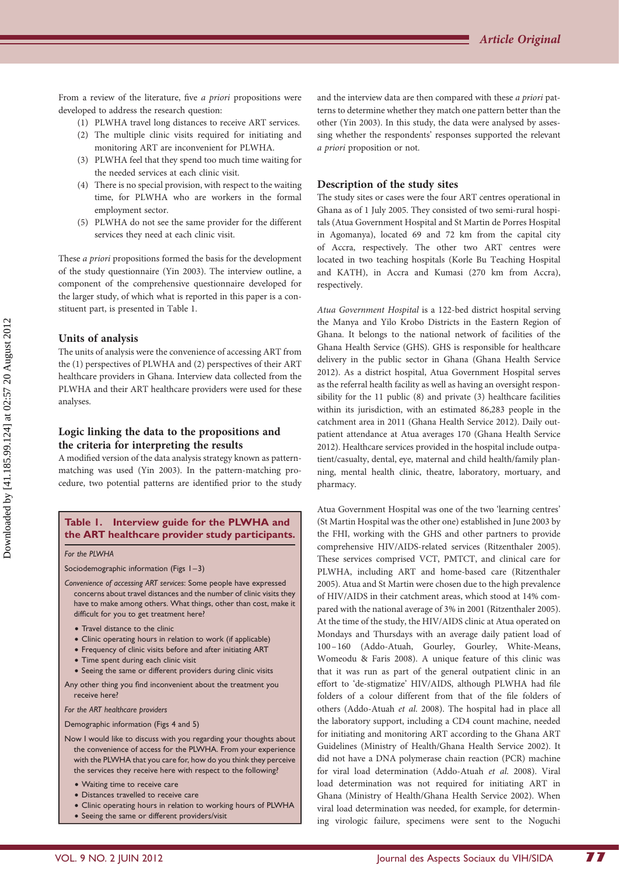From a review of the literature, five a priori propositions were developed to address the research question:

- (1) PLWHA travel long distances to receive ART services.
- (2) The multiple clinic visits required for initiating and monitoring ART are inconvenient for PLWHA.
- (3) PLWHA feel that they spend too much time waiting for the needed services at each clinic visit.
- (4) There is no special provision, with respect to the waiting time, for PLWHA who are workers in the formal employment sector.
- (5) PLWHA do not see the same provider for the different services they need at each clinic visit.

These a priori propositions formed the basis for the development of the study questionnaire (Yin 2003). The interview outline, a component of the comprehensive questionnaire developed for the larger study, of which what is reported in this paper is a constituent part, is presented in Table 1.

#### Units of analysis

The units of analysis were the convenience of accessing ART from the (1) perspectives of PLWHA and (2) perspectives of their ART healthcare providers in Ghana. Interview data collected from the PLWHA and their ART healthcare providers were used for these analyses.

#### Logic linking the data to the propositions and the criteria for interpreting the results

A modified version of the data analysis strategy known as patternmatching was used (Yin 2003). In the pattern-matching procedure, two potential patterns are identified prior to the study

#### Table 1. Interview guide for the PLWHA and the ART healthcare provider study participants.

For the PLWHA

Sociodemographic information (Figs 1–3)

- Convenience of accessing ART services: Some people have expressed concerns about travel distances and the number of clinic visits they have to make among others. What things, other than cost, make it difficult for you to get treatment here?
	- Travel distance to the clinic
	- Clinic operating hours in relation to work (if applicable)
	- Frequency of clinic visits before and after initiating ART
	- Time spent during each clinic visit
	- Seeing the same or different providers during clinic visits

Any other thing you find inconvenient about the treatment you receive here?

For the ART healthcare providers

Demographic information (Figs 4 and 5)

- Now I would like to discuss with you regarding your thoughts about the convenience of access for the PLWHA. From your experience with the PLWHA that you care for, how do you think they perceive the services they receive here with respect to the following?
	- Waiting time to receive care
	- Distances travelled to receive care
	- † Clinic operating hours in relation to working hours of PLWHA
	- Seeing the same or different providers/visit

and the interview data are then compared with these a priori patterns to determine whether they match one pattern better than the other (Yin 2003). In this study, the data were analysed by assessing whether the respondents' responses supported the relevant a priori proposition or not.

#### Description of the study sites

The study sites or cases were the four ART centres operational in Ghana as of 1 July 2005. They consisted of two semi-rural hospitals (Atua Government Hospital and St Martin de Porres Hospital in Agomanya), located 69 and 72 km from the capital city of Accra, respectively. The other two ART centres were located in two teaching hospitals (Korle Bu Teaching Hospital and KATH), in Accra and Kumasi (270 km from Accra), respectively.

Atua Government Hospital is a 122-bed district hospital serving the Manya and Yilo Krobo Districts in the Eastern Region of Ghana. It belongs to the national network of facilities of the Ghana Health Service (GHS). GHS is responsible for healthcare delivery in the public sector in Ghana (Ghana Health Service 2012). As a district hospital, Atua Government Hospital serves as the referral health facility as well as having an oversight responsibility for the 11 public (8) and private (3) healthcare facilities within its jurisdiction, with an estimated 86,283 people in the catchment area in 2011 (Ghana Health Service 2012). Daily outpatient attendance at Atua averages 170 (Ghana Health Service 2012). Healthcare services provided in the hospital include outpatient/casualty, dental, eye, maternal and child health/family planning, mental health clinic, theatre, laboratory, mortuary, and pharmacy.

Atua Government Hospital was one of the two 'learning centres' (St Martin Hospital was the other one) established in June 2003 by the FHI, working with the GHS and other partners to provide comprehensive HIV/AIDS-related services (Ritzenthaler 2005). These services comprised VCT, PMTCT, and clinical care for PLWHA, including ART and home-based care (Ritzenthaler 2005). Atua and St Martin were chosen due to the high prevalence of HIV/AIDS in their catchment areas, which stood at 14% compared with the national average of 3% in 2001 (Ritzenthaler 2005). At the time of the study, the HIV/AIDS clinic at Atua operated on Mondays and Thursdays with an average daily patient load of 100–160 (Addo-Atuah, Gourley, Gourley, White-Means, Womeodu & Faris 2008). A unique feature of this clinic was that it was run as part of the general outpatient clinic in an effort to 'de-stigmatize' HIV/AIDS, although PLWHA had file folders of a colour different from that of the file folders of others (Addo-Atuah et al. 2008). The hospital had in place all the laboratory support, including a CD4 count machine, needed for initiating and monitoring ART according to the Ghana ART Guidelines (Ministry of Health/Ghana Health Service 2002). It did not have a DNA polymerase chain reaction (PCR) machine for viral load determination (Addo-Atuah et al. 2008). Viral load determination was not required for initiating ART in Ghana (Ministry of Health/Ghana Health Service 2002). When viral load determination was needed, for example, for determining virologic failure, specimens were sent to the Noguchi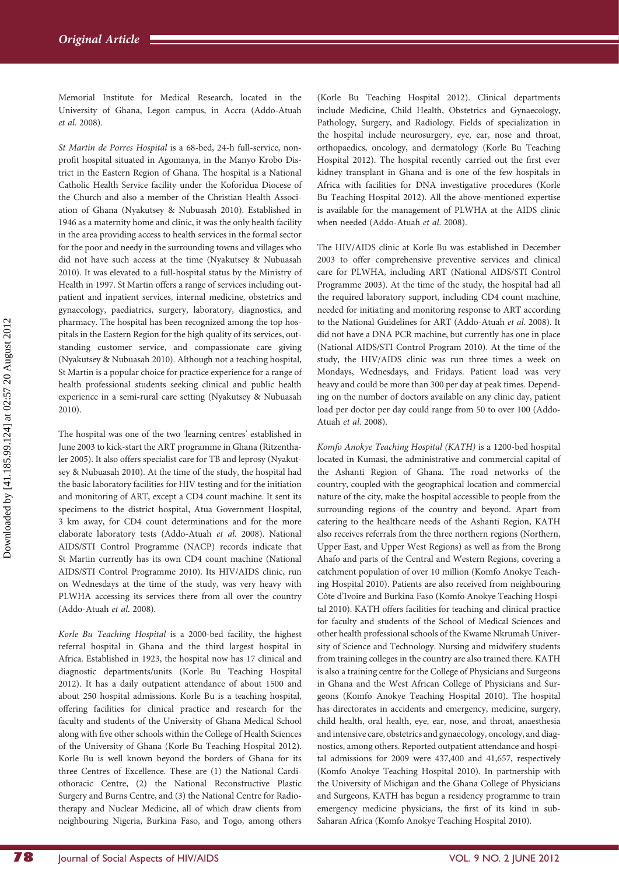Memorial Institute for Medical Research, located in the University of Ghana, Legon campus, in Accra (Addo-Atuah et al. 2008).

St Martin de Porres Hospital is a 68-bed, 24-h full-service, nonprofit hospital situated in Agomanya, in the Manyo Krobo District in the Eastern Region of Ghana. The hospital is a National Catholic Health Service facility under the Koforidua Diocese of the Church and also a member of the Christian Health Association of Ghana (Nyakutsey & Nubuasah 2010). Established in 1946 as a maternity home and clinic, it was the only health facility in the area providing access to health services in the formal sector for the poor and needy in the surrounding towns and villages who did not have such access at the time (Nyakutsey & Nubuasah 2010). It was elevated to a full-hospital status by the Ministry of Health in 1997. St Martin offers a range of services including outpatient and inpatient services, internal medicine, obstetrics and gynaecology, paediatrics, surgery, laboratory, diagnostics, and pharmacy. The hospital has been recognized among the top hospitals in the Eastern Region for the high quality of its services, outstanding customer service, and compassionate care giving (Nyakutsey & Nubuasah 2010). Although not a teaching hospital, St Martin is a popular choice for practice experience for a range of health professional students seeking clinical and public health experience in a semi-rural care setting (Nyakutsey & Nubuasah 2010).

The hospital was one of the two 'learning centres' established in June 2003 to kick-start the ART programme in Ghana (Ritzenthaler 2005). It also offers specialist care for TB and leprosy (Nyakutsey & Nubuasah 2010). At the time of the study, the hospital had the basic laboratory facilities for HIV testing and for the initiation and monitoring of ART, except a CD4 count machine. It sent its specimens to the district hospital, Atua Government Hospital, 3 km away, for CD4 count determinations and for the more elaborate laboratory tests (Addo-Atuah et al. 2008). National AIDS/STI Control Programme (NACP) records indicate that St Martin currently has its own CD4 count machine (National AIDS/STI Control Programme 2010). Its HIV/AIDS clinic, run on Wednesdays at the time of the study, was very heavy with PLWHA accessing its services there from all over the country (Addo-Atuah et al. 2008).

Korle Bu Teaching Hospital is a 2000-bed facility, the highest referral hospital in Ghana and the third largest hospital in Africa. Established in 1923, the hospital now has 17 clinical and diagnostic departments/units (Korle Bu Teaching Hospital 2012). It has a daily outpatient attendance of about 1500 and about 250 hospital admissions. Korle Bu is a teaching hospital, offering facilities for clinical practice and research for the faculty and students of the University of Ghana Medical School along with five other schools within the College of Health Sciences of the University of Ghana (Korle Bu Teaching Hospital 2012). Korle Bu is well known beyond the borders of Ghana for its three Centres of Excellence. These are (1) the National Cardiothoracic Centre, (2) the National Reconstructive Plastic Surgery and Burns Centre, and (3) the National Centre for Radiotherapy and Nuclear Medicine, all of which draw clients from neighbouring Nigeria, Burkina Faso, and Togo, among others

(Korle Bu Teaching Hospital 2012). Clinical departments include Medicine, Child Health, Obstetrics and Gynaecology, Pathology, Surgery, and Radiology. Fields of specialization in the hospital include neurosurgery, eye, ear, nose and throat, orthopaedics, oncology, and dermatology (Korle Bu Teaching Hospital 2012). The hospital recently carried out the first ever kidney transplant in Ghana and is one of the few hospitals in Africa with facilities for DNA investigative procedures (Korle Bu Teaching Hospital 2012). All the above-mentioned expertise is available for the management of PLWHA at the AIDS clinic when needed (Addo-Atuah et al. 2008).

The HIV/AIDS clinic at Korle Bu was established in December 2003 to offer comprehensive preventive services and clinical care for PLWHA, including ART (National AIDS/STI Control Programme 2003). At the time of the study, the hospital had all the required laboratory support, including CD4 count machine, needed for initiating and monitoring response to ART according to the National Guidelines for ART (Addo-Atuah et al. 2008). It did not have a DNA PCR machine, but currently has one in place (National AIDS/STI Control Program 2010). At the time of the study, the HIV/AIDS clinic was run three times a week on Mondays, Wednesdays, and Fridays. Patient load was very heavy and could be more than 300 per day at peak times. Depending on the number of doctors available on any clinic day, patient load per doctor per day could range from 50 to over 100 (Addo-Atuah et al. 2008).

Komfo Anokye Teaching Hospital (KATH) is a 1200-bed hospital located in Kumasi, the administrative and commercial capital of the Ashanti Region of Ghana. The road networks of the country, coupled with the geographical location and commercial nature of the city, make the hospital accessible to people from the surrounding regions of the country and beyond. Apart from catering to the healthcare needs of the Ashanti Region, KATH also receives referrals from the three northern regions (Northern, Upper East, and Upper West Regions) as well as from the Brong Ahafo and parts of the Central and Western Regions, covering a catchment population of over 10 million (Komfo Anokye Teaching Hospital 2010). Patients are also received from neighbouring Côte d'Ivoire and Burkina Faso (Komfo Anokye Teaching Hospital 2010). KATH offers facilities for teaching and clinical practice for faculty and students of the School of Medical Sciences and other health professional schools of the Kwame Nkrumah University of Science and Technology. Nursing and midwifery students from training colleges in the country are also trained there. KATH is also a training centre for the College of Physicians and Surgeons in Ghana and the West African College of Physicians and Surgeons (Komfo Anokye Teaching Hospital 2010). The hospital has directorates in accidents and emergency, medicine, surgery, child health, oral health, eye, ear, nose, and throat, anaesthesia and intensive care, obstetrics and gynaecology, oncology, and diagnostics, among others. Reported outpatient attendance and hospital admissions for 2009 were 437,400 and 41,657, respectively (Komfo Anokye Teaching Hospital 2010). In partnership with the University of Michigan and the Ghana College of Physicians and Surgeons, KATH has begun a residency programme to train emergency medicine physicians, the first of its kind in sub-Saharan Africa (Komfo Anokye Teaching Hospital 2010).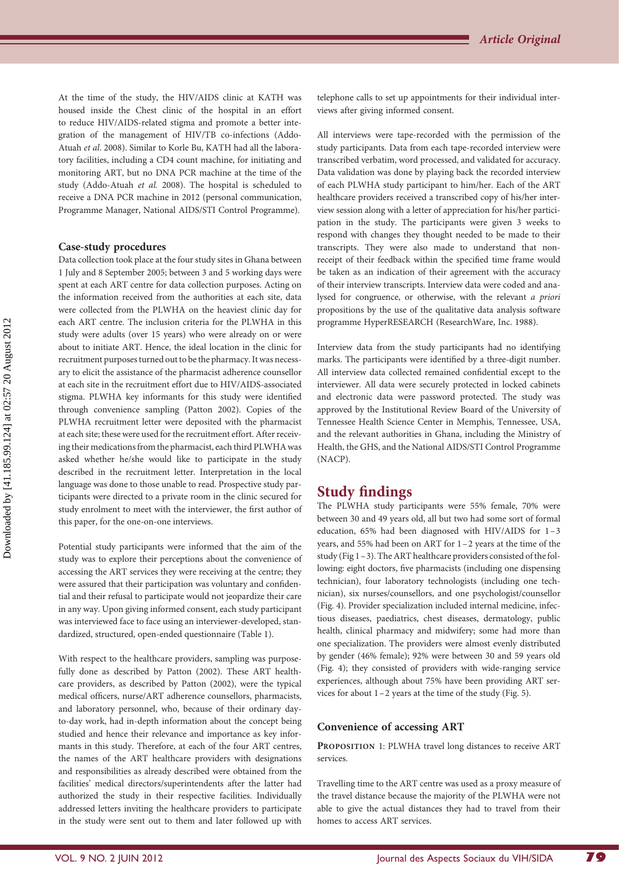At the time of the study, the HIV/AIDS clinic at KATH was housed inside the Chest clinic of the hospital in an effort to reduce HIV/AIDS-related stigma and promote a better integration of the management of HIV/TB co-infections (Addo-Atuah et al. 2008). Similar to Korle Bu, KATH had all the laboratory facilities, including a CD4 count machine, for initiating and monitoring ART, but no DNA PCR machine at the time of the study (Addo-Atuah et al. 2008). The hospital is scheduled to receive a DNA PCR machine in 2012 (personal communication, Programme Manager, National AIDS/STI Control Programme).

#### Case-study procedures

Data collection took place at the four study sites in Ghana between 1 July and 8 September 2005; between 3 and 5 working days were spent at each ART centre for data collection purposes. Acting on the information received from the authorities at each site, data were collected from the PLWHA on the heaviest clinic day for each ART centre. The inclusion criteria for the PLWHA in this study were adults (over 15 years) who were already on or were about to initiate ART. Hence, the ideal location in the clinic for recruitment purposes turned out to be the pharmacy. It was necessary to elicit the assistance of the pharmacist adherence counsellor at each site in the recruitment effort due to HIV/AIDS-associated stigma. PLWHA key informants for this study were identified through convenience sampling (Patton 2002). Copies of the PLWHA recruitment letter were deposited with the pharmacist at each site; these were used for the recruitment effort. After receiving their medications from the pharmacist, each third PLWHA was asked whether he/she would like to participate in the study described in the recruitment letter. Interpretation in the local language was done to those unable to read. Prospective study participants were directed to a private room in the clinic secured for study enrolment to meet with the interviewer, the first author of this paper, for the one-on-one interviews.

Potential study participants were informed that the aim of the study was to explore their perceptions about the convenience of accessing the ART services they were receiving at the centre; they were assured that their participation was voluntary and confidential and their refusal to participate would not jeopardize their care in any way. Upon giving informed consent, each study participant was interviewed face to face using an interviewer-developed, standardized, structured, open-ended questionnaire (Table 1).

With respect to the healthcare providers, sampling was purposefully done as described by Patton (2002). These ART healthcare providers, as described by Patton (2002), were the typical medical officers, nurse/ART adherence counsellors, pharmacists, and laboratory personnel, who, because of their ordinary dayto-day work, had in-depth information about the concept being studied and hence their relevance and importance as key informants in this study. Therefore, at each of the four ART centres, the names of the ART healthcare providers with designations and responsibilities as already described were obtained from the facilities' medical directors/superintendents after the latter had authorized the study in their respective facilities. Individually addressed letters inviting the healthcare providers to participate in the study were sent out to them and later followed up with

telephone calls to set up appointments for their individual interviews after giving informed consent.

All interviews were tape-recorded with the permission of the study participants. Data from each tape-recorded interview were transcribed verbatim, word processed, and validated for accuracy. Data validation was done by playing back the recorded interview of each PLWHA study participant to him/her. Each of the ART healthcare providers received a transcribed copy of his/her interview session along with a letter of appreciation for his/her participation in the study. The participants were given 3 weeks to respond with changes they thought needed to be made to their transcripts. They were also made to understand that nonreceipt of their feedback within the specified time frame would be taken as an indication of their agreement with the accuracy of their interview transcripts. Interview data were coded and analysed for congruence, or otherwise, with the relevant a priori propositions by the use of the qualitative data analysis software programme HyperRESEARCH (ResearchWare, Inc. 1988).

Interview data from the study participants had no identifying marks. The participants were identified by a three-digit number. All interview data collected remained confidential except to the interviewer. All data were securely protected in locked cabinets and electronic data were password protected. The study was approved by the Institutional Review Board of the University of Tennessee Health Science Center in Memphis, Tennessee, USA, and the relevant authorities in Ghana, including the Ministry of Health, the GHS, and the National AIDS/STI Control Programme (NACP).

## Study findings

The PLWHA study participants were 55% female, 70% were between 30 and 49 years old, all but two had some sort of formal education, 65% had been diagnosed with HIV/AIDS for 1–3 years, and 55% had been on ART for 1–2 years at the time of the study (Fig 1–3). The ART healthcare providers consisted of the following: eight doctors, five pharmacists (including one dispensing technician), four laboratory technologists (including one technician), six nurses/counsellors, and one psychologist/counsellor (Fig. 4). Provider specialization included internal medicine, infectious diseases, paediatrics, chest diseases, dermatology, public health, clinical pharmacy and midwifery; some had more than one specialization. The providers were almost evenly distributed by gender (46% female); 92% were between 30 and 59 years old (Fig. 4); they consisted of providers with wide-ranging service experiences, although about 75% have been providing ART services for about 1–2 years at the time of the study (Fig. 5).

#### Convenience of accessing ART

PROPOSITION 1: PLWHA travel long distances to receive ART services.

Travelling time to the ART centre was used as a proxy measure of the travel distance because the majority of the PLWHA were not able to give the actual distances they had to travel from their homes to access ART services.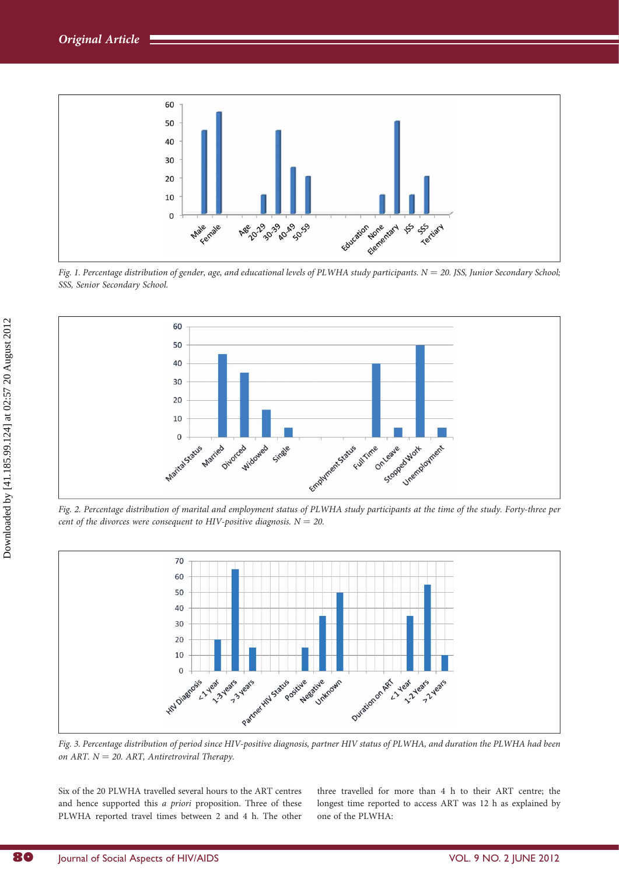

Fig. 1. Percentage distribution of gender, age, and educational levels of PLWHA study participants.  $N = 20$ . JSS, Junior Secondary School; SSS, Senior Secondary School.



Fig. 2. Percentage distribution of marital and employment status of PLWHA study participants at the time of the study. Forty-three per cent of the divorces were consequent to HIV-positive diagnosis.  $N = 20$ .



Fig. 3. Percentage distribution of period since HIV-positive diagnosis, partner HIV status of PLWHA, and duration the PLWHA had been on ART.  $N = 20$ . ART, Antiretroviral Therapy.

Six of the 20 PLWHA travelled several hours to the ART centres and hence supported this a priori proposition. Three of these PLWHA reported travel times between 2 and 4 h. The other

three travelled for more than 4 h to their ART centre; the longest time reported to access ART was 12 h as explained by one of the PLWHA: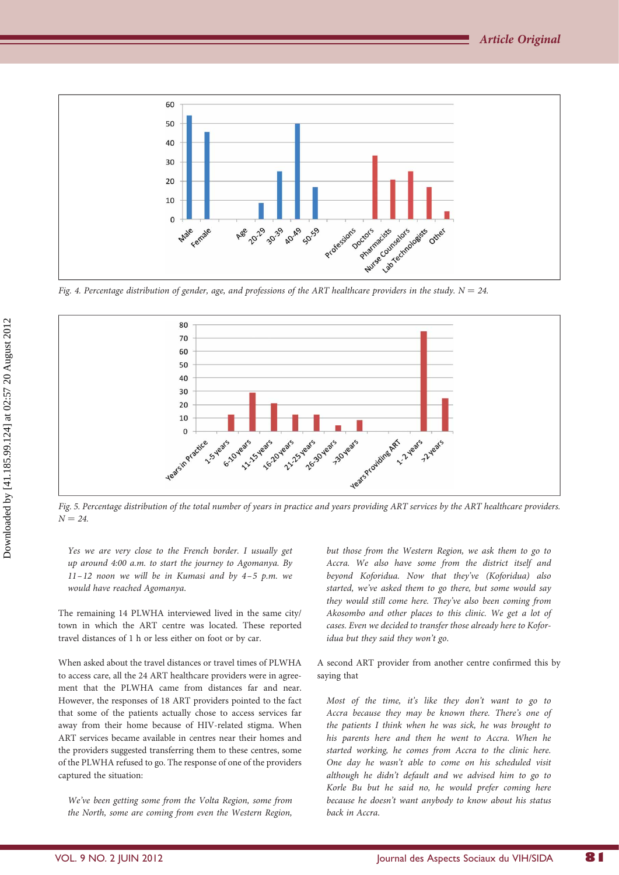

Fig. 4. Percentage distribution of gender, age, and professions of the ART healthcare providers in the study.  $N = 24$ .



Fig. 5. Percentage distribution of the total number of years in practice and years providing ART services by the ART healthcare providers.  $N = 24.$ 

Yes we are very close to the French border. I usually get up around 4:00 a.m. to start the journey to Agomanya. By  $11 - 12$  noon we will be in Kumasi and by  $4 - 5$  p.m. we would have reached Agomanya.

The remaining 14 PLWHA interviewed lived in the same city/ town in which the ART centre was located. These reported travel distances of 1 h or less either on foot or by car.

When asked about the travel distances or travel times of PLWHA to access care, all the 24 ART healthcare providers were in agreement that the PLWHA came from distances far and near. However, the responses of 18 ART providers pointed to the fact that some of the patients actually chose to access services far away from their home because of HIV-related stigma. When ART services became available in centres near their homes and the providers suggested transferring them to these centres, some of the PLWHA refused to go. The response of one of the providers captured the situation:

We've been getting some from the Volta Region, some from the North, some are coming from even the Western Region,

but those from the Western Region, we ask them to go to Accra. We also have some from the district itself and beyond Koforidua. Now that they've (Koforidua) also started, we've asked them to go there, but some would say they would still come here. They've also been coming from Akosombo and other places to this clinic. We get a lot of cases. Even we decided to transfer those already here to Koforidua but they said they won't go.

A second ART provider from another centre confirmed this by saying that

Most of the time, it's like they don't want to go to Accra because they may be known there. There's one of the patients I think when he was sick, he was brought to his parents here and then he went to Accra. When he started working, he comes from Accra to the clinic here. One day he wasn't able to come on his scheduled visit although he didn't default and we advised him to go to Korle Bu but he said no, he would prefer coming here because he doesn't want anybody to know about his status back in Accra.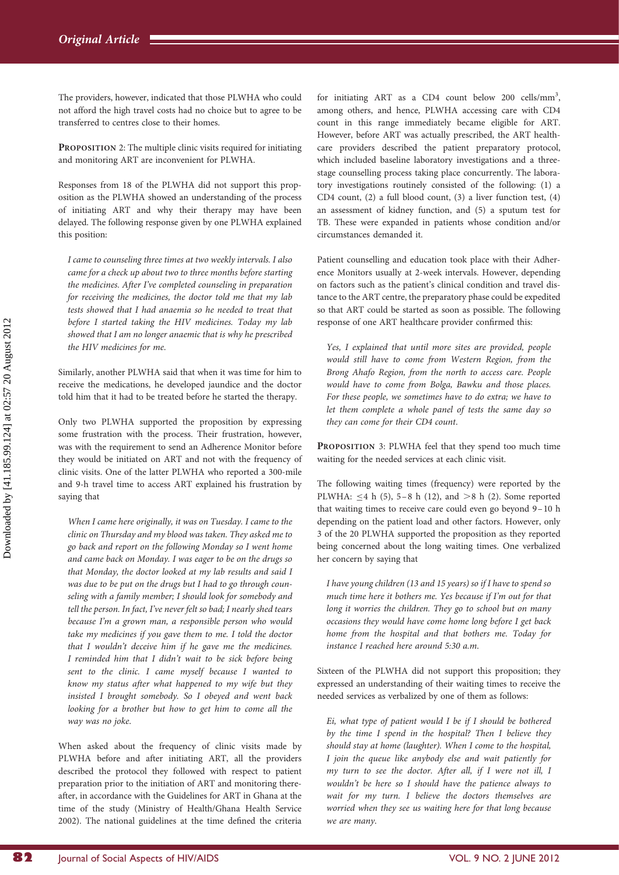The providers, however, indicated that those PLWHA who could not afford the high travel costs had no choice but to agree to be transferred to centres close to their homes.

PROPOSITION 2: The multiple clinic visits required for initiating and monitoring ART are inconvenient for PLWHA.

Responses from 18 of the PLWHA did not support this proposition as the PLWHA showed an understanding of the process of initiating ART and why their therapy may have been delayed. The following response given by one PLWHA explained this position:

I came to counseling three times at two weekly intervals. I also came for a check up about two to three months before starting the medicines. After I've completed counseling in preparation for receiving the medicines, the doctor told me that my lab tests showed that I had anaemia so he needed to treat that before I started taking the HIV medicines. Today my lab showed that I am no longer anaemic that is why he prescribed the HIV medicines for me.

Similarly, another PLWHA said that when it was time for him to receive the medications, he developed jaundice and the doctor told him that it had to be treated before he started the therapy.

Only two PLWHA supported the proposition by expressing some frustration with the process. Their frustration, however, was with the requirement to send an Adherence Monitor before they would be initiated on ART and not with the frequency of clinic visits. One of the latter PLWHA who reported a 300-mile and 9-h travel time to access ART explained his frustration by saying that

When I came here originally, it was on Tuesday. I came to the clinic on Thursday and my blood was taken. They asked me to go back and report on the following Monday so I went home and came back on Monday. I was eager to be on the drugs so that Monday, the doctor looked at my lab results and said I was due to be put on the drugs but I had to go through counseling with a family member; I should look for somebody and tell the person. In fact, I've never felt so bad; I nearly shed tears because I'm a grown man, a responsible person who would take my medicines if you gave them to me. I told the doctor that I wouldn't deceive him if he gave me the medicines. I reminded him that I didn't wait to be sick before being sent to the clinic. I came myself because I wanted to know my status after what happened to my wife but they insisted I brought somebody. So I obeyed and went back looking for a brother but how to get him to come all the way was no joke.

When asked about the frequency of clinic visits made by PLWHA before and after initiating ART, all the providers described the protocol they followed with respect to patient preparation prior to the initiation of ART and monitoring thereafter, in accordance with the Guidelines for ART in Ghana at the time of the study (Ministry of Health/Ghana Health Service 2002). The national guidelines at the time defined the criteria

for initiating ART as a CD4 count below 200 cells/mm<sup>3</sup>, among others, and hence, PLWHA accessing care with CD4 count in this range immediately became eligible for ART. However, before ART was actually prescribed, the ART healthcare providers described the patient preparatory protocol, which included baseline laboratory investigations and a threestage counselling process taking place concurrently. The laboratory investigations routinely consisted of the following: (1) a CD4 count, (2) a full blood count, (3) a liver function test, (4) an assessment of kidney function, and (5) a sputum test for TB. These were expanded in patients whose condition and/or circumstances demanded it.

Patient counselling and education took place with their Adherence Monitors usually at 2-week intervals. However, depending on factors such as the patient's clinical condition and travel distance to the ART centre, the preparatory phase could be expedited so that ART could be started as soon as possible. The following response of one ART healthcare provider confirmed this:

Yes, I explained that until more sites are provided, people would still have to come from Western Region, from the Brong Ahafo Region, from the north to access care. People would have to come from Bolga, Bawku and those places. For these people, we sometimes have to do extra; we have to let them complete a whole panel of tests the same day so they can come for their CD4 count.

PROPOSITION 3: PLWHA feel that they spend too much time waiting for the needed services at each clinic visit.

The following waiting times (frequency) were reported by the PLWHA:  $\leq 4$  h (5), 5–8 h (12), and  $> 8$  h (2). Some reported that waiting times to receive care could even go beyond 9–10 h depending on the patient load and other factors. However, only 3 of the 20 PLWHA supported the proposition as they reported being concerned about the long waiting times. One verbalized her concern by saying that

I have young children (13 and 15 years) so if I have to spend so much time here it bothers me. Yes because if I'm out for that long it worries the children. They go to school but on many occasions they would have come home long before I get back home from the hospital and that bothers me. Today for instance I reached here around 5:30 a.m.

Sixteen of the PLWHA did not support this proposition; they expressed an understanding of their waiting times to receive the needed services as verbalized by one of them as follows:

Ei, what type of patient would I be if I should be bothered by the time I spend in the hospital? Then I believe they should stay at home (laughter). When I come to the hospital, I join the queue like anybody else and wait patiently for my turn to see the doctor. After all, if I were not ill, I wouldn't be here so I should have the patience always to wait for my turn. I believe the doctors themselves are worried when they see us waiting here for that long because we are many.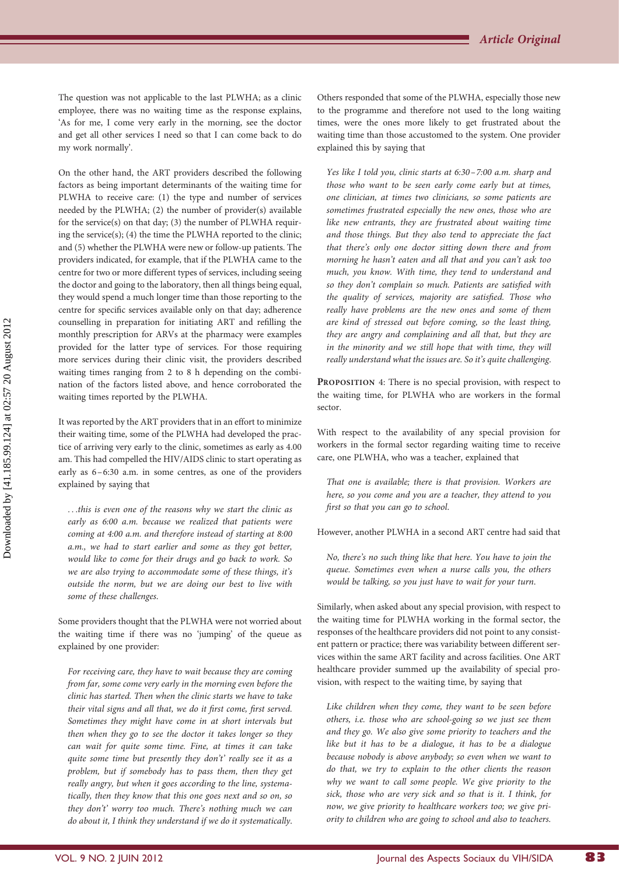The question was not applicable to the last PLWHA; as a clinic employee, there was no waiting time as the response explains, 'As for me, I come very early in the morning, see the doctor and get all other services I need so that I can come back to do my work normally'.

On the other hand, the ART providers described the following factors as being important determinants of the waiting time for PLWHA to receive care: (1) the type and number of services needed by the PLWHA; (2) the number of provider(s) available for the service(s) on that day; (3) the number of PLWHA requiring the service $(s)$ ;  $(4)$  the time the PLWHA reported to the clinic; and (5) whether the PLWHA were new or follow-up patients. The providers indicated, for example, that if the PLWHA came to the centre for two or more different types of services, including seeing the doctor and going to the laboratory, then all things being equal, they would spend a much longer time than those reporting to the centre for specific services available only on that day; adherence counselling in preparation for initiating ART and refilling the monthly prescription for ARVs at the pharmacy were examples provided for the latter type of services. For those requiring more services during their clinic visit, the providers described waiting times ranging from 2 to 8 h depending on the combination of the factors listed above, and hence corroborated the waiting times reported by the PLWHA.

It was reported by the ART providers that in an effort to minimize their waiting time, some of the PLWHA had developed the practice of arriving very early to the clinic, sometimes as early as 4.00 am. This had compelled the HIV/AIDS clinic to start operating as early as 6–6:30 a.m. in some centres, as one of the providers explained by saying that

...this is even one of the reasons why we start the clinic as early as 6:00 a.m. because we realized that patients were coming at 4:00 a.m. and therefore instead of starting at 8:00 a.m., we had to start earlier and some as they got better, would like to come for their drugs and go back to work. So we are also trying to accommodate some of these things, it's outside the norm, but we are doing our best to live with some of these challenges.

Some providers thought that the PLWHA were not worried about the waiting time if there was no 'jumping' of the queue as explained by one provider:

For receiving care, they have to wait because they are coming from far, some come very early in the morning even before the clinic has started. Then when the clinic starts we have to take their vital signs and all that, we do it first come, first served. Sometimes they might have come in at short intervals but then when they go to see the doctor it takes longer so they can wait for quite some time. Fine, at times it can take quite some time but presently they don't' really see it as a problem, but if somebody has to pass them, then they get really angry, but when it goes according to the line, systematically, then they know that this one goes next and so on, so they don't' worry too much. There's nothing much we can do about it, I think they understand if we do it systematically.

Others responded that some of the PLWHA, especially those new to the programme and therefore not used to the long waiting times, were the ones more likely to get frustrated about the waiting time than those accustomed to the system. One provider explained this by saying that

Yes like I told you, clinic starts at 6:30–7:00 a.m. sharp and those who want to be seen early come early but at times, one clinician, at times two clinicians, so some patients are sometimes frustrated especially the new ones, those who are like new entrants, they are frustrated about waiting time and those things. But they also tend to appreciate the fact that there's only one doctor sitting down there and from morning he hasn't eaten and all that and you can't ask too much, you know. With time, they tend to understand and so they don't complain so much. Patients are satisfied with the quality of services, majority are satisfied. Those who really have problems are the new ones and some of them are kind of stressed out before coming, so the least thing, they are angry and complaining and all that, but they are in the minority and we still hope that with time, they will really understand what the issues are. So it's quite challenging.

PROPOSITION 4: There is no special provision, with respect to the waiting time, for PLWHA who are workers in the formal sector.

With respect to the availability of any special provision for workers in the formal sector regarding waiting time to receive care, one PLWHA, who was a teacher, explained that

That one is available; there is that provision. Workers are here, so you come and you are a teacher, they attend to you first so that you can go to school.

However, another PLWHA in a second ART centre had said that

No, there's no such thing like that here. You have to join the queue. Sometimes even when a nurse calls you, the others would be talking, so you just have to wait for your turn.

Similarly, when asked about any special provision, with respect to the waiting time for PLWHA working in the formal sector, the responses of the healthcare providers did not point to any consistent pattern or practice; there was variability between different services within the same ART facility and across facilities. One ART healthcare provider summed up the availability of special provision, with respect to the waiting time, by saying that

Like children when they come, they want to be seen before others, i.e. those who are school-going so we just see them and they go. We also give some priority to teachers and the like but it has to be a dialogue, it has to be a dialogue because nobody is above anybody; so even when we want to do that, we try to explain to the other clients the reason why we want to call some people. We give priority to the sick, those who are very sick and so that is it. I think, for now, we give priority to healthcare workers too; we give priority to children who are going to school and also to teachers.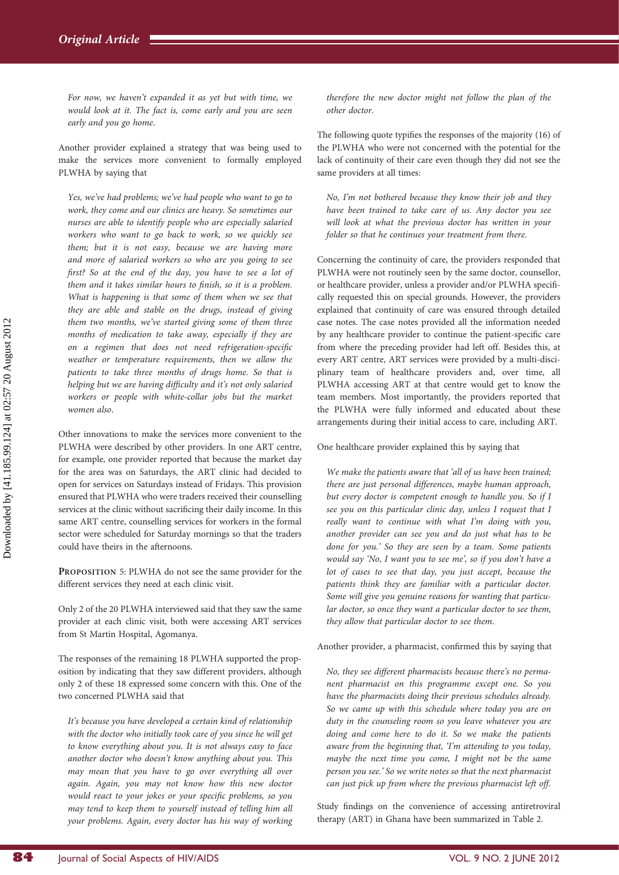For now, we haven't expanded it as yet but with time, we would look at it. The fact is, come early and you are seen early and you go home.

Another provider explained a strategy that was being used to make the services more convenient to formally employed PLWHA by saying that

Yes, we've had problems; we've had people who want to go to work, they come and our clinics are heavy. So sometimes our nurses are able to identify people who are especially salaried workers who want to go back to work, so we quickly see them; but it is not easy, because we are having more and more of salaried workers so who are you going to see first? So at the end of the day, you have to see a lot of them and it takes similar hours to finish, so it is a problem. What is happening is that some of them when we see that they are able and stable on the drugs, instead of giving them two months, we've started giving some of them three months of medication to take away, especially if they are on a regimen that does not need refrigeration-specific weather or temperature requirements, then we allow the patients to take three months of drugs home. So that is helping but we are having difficulty and it's not only salaried workers or people with white-collar jobs but the market women also.

Other innovations to make the services more convenient to the PLWHA were described by other providers. In one ART centre, for example, one provider reported that because the market day for the area was on Saturdays, the ART clinic had decided to open for services on Saturdays instead of Fridays. This provision ensured that PLWHA who were traders received their counselling services at the clinic without sacrificing their daily income. In this same ART centre, counselling services for workers in the formal sector were scheduled for Saturday mornings so that the traders could have theirs in the afternoons.

PROPOSITION 5: PLWHA do not see the same provider for the different services they need at each clinic visit.

Only 2 of the 20 PLWHA interviewed said that they saw the same provider at each clinic visit, both were accessing ART services from St Martin Hospital, Agomanya.

The responses of the remaining 18 PLWHA supported the proposition by indicating that they saw different providers, although only 2 of these 18 expressed some concern with this. One of the two concerned PLWHA said that

It's because you have developed a certain kind of relationship with the doctor who initially took care of you since he will get to know everything about you. It is not always easy to face another doctor who doesn't know anything about you. This may mean that you have to go over everything all over again. Again, you may not know how this new doctor would react to your jokes or your specific problems, so you may tend to keep them to yourself instead of telling him all your problems. Again, every doctor has his way of working therefore the new doctor might not follow the plan of the other doctor.

The following quote typifies the responses of the majority (16) of the PLWHA who were not concerned with the potential for the lack of continuity of their care even though they did not see the same providers at all times:

No, I'm not bothered because they know their job and they have been trained to take care of us. Any doctor you see will look at what the previous doctor has written in your folder so that he continues your treatment from there.

Concerning the continuity of care, the providers responded that PLWHA were not routinely seen by the same doctor, counsellor, or healthcare provider, unless a provider and/or PLWHA specifically requested this on special grounds. However, the providers explained that continuity of care was ensured through detailed case notes. The case notes provided all the information needed by any healthcare provider to continue the patient-specific care from where the preceding provider had left off. Besides this, at every ART centre, ART services were provided by a multi-disciplinary team of healthcare providers and, over time, all PLWHA accessing ART at that centre would get to know the team members. Most importantly, the providers reported that the PLWHA were fully informed and educated about these arrangements during their initial access to care, including ART.

One healthcare provider explained this by saying that

We make the patients aware that 'all of us have been trained; there are just personal differences, maybe human approach, but every doctor is competent enough to handle you. So if I see you on this particular clinic day, unless I request that I really want to continue with what I'm doing with you, another provider can see you and do just what has to be done for you.' So they are seen by a team. Some patients would say 'No, I want you to see me', so if you don't have a lot of cases to see that day, you just accept, because the patients think they are familiar with a particular doctor. Some will give you genuine reasons for wanting that particular doctor, so once they want a particular doctor to see them, they allow that particular doctor to see them.

Another provider, a pharmacist, confirmed this by saying that

No, they see different pharmacists because there's no permanent pharmacist on this programme except one. So you have the pharmacists doing their previous schedules already. So we came up with this schedule where today you are on duty in the counseling room so you leave whatever you are doing and come here to do it. So we make the patients aware from the beginning that, 'I'm attending to you today, maybe the next time you come, I might not be the same person you see.' So we write notes so that the next pharmacist can just pick up from where the previous pharmacist left off.

Study findings on the convenience of accessing antiretroviral therapy (ART) in Ghana have been summarized in Table 2.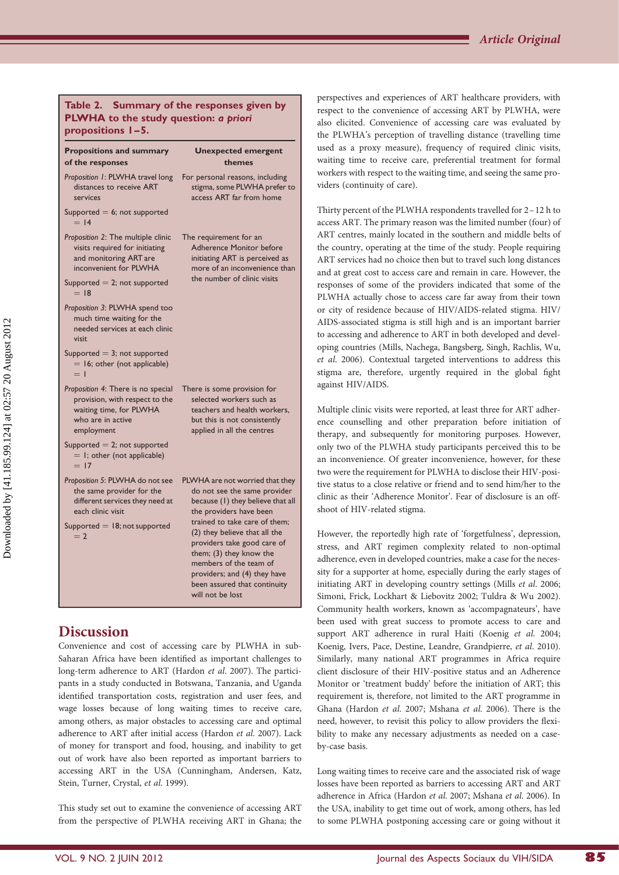#### Table 2. Summary of the responses given by PLWHA to the study question: a priori propositions 1 –5.

| <b>Propositions and summary</b><br>of the responses                                                                                | <b>Unexpected emergent</b><br>themes                                                                                                                                                                                                                                                                                                                                      |
|------------------------------------------------------------------------------------------------------------------------------------|---------------------------------------------------------------------------------------------------------------------------------------------------------------------------------------------------------------------------------------------------------------------------------------------------------------------------------------------------------------------------|
| Proposition 1: PLWHA travel long<br>distances to receive ART<br>services                                                           | For personal reasons, including<br>stigma, some PLWHA prefer to<br>access ART far from home                                                                                                                                                                                                                                                                               |
| Supported $= 6$ ; not supported<br>$= 14$                                                                                          |                                                                                                                                                                                                                                                                                                                                                                           |
| Proposition 2: The multiple clinic<br>visits required for initiating<br>and monitoring ART are<br>inconvenient for PLWHA           | The requirement for an<br><b>Adherence Monitor before</b><br>initiating ART is perceived as<br>more of an inconvenience than<br>the number of clinic visits                                                                                                                                                                                                               |
| Supported $= 2$ ; not supported<br>$= 18$                                                                                          |                                                                                                                                                                                                                                                                                                                                                                           |
| Proposition 3: PLWHA spend too<br>much time waiting for the<br>needed services at each clinic<br>visit                             |                                                                                                                                                                                                                                                                                                                                                                           |
| Supported $=$ 3; not supported<br>$= 16$ ; other (not applicable)<br>$=$ 1                                                         |                                                                                                                                                                                                                                                                                                                                                                           |
| Proposition 4: There is no special<br>provision, with respect to the<br>waiting time, for PLWHA<br>who are in active<br>employment | There is some provision for<br>selected workers such as<br>teachers and health workers.<br>but this is not consistently<br>applied in all the centres                                                                                                                                                                                                                     |
| Supported $= 2$ ; not supported<br>$=$ I; other (not applicable)<br>$= 17$                                                         |                                                                                                                                                                                                                                                                                                                                                                           |
| Proposition 5: PLWHA do not see<br>the same provider for the<br>different services they need at<br>each clinic visit               | PLWHA are not worried that they<br>do not see the same provider<br>because (1) they believe that all<br>the providers have been<br>trained to take care of them;<br>(2) they believe that all the<br>providers take good care of<br>them; (3) they know the<br>members of the team of<br>providers; and (4) they have<br>been assured that continuity<br>will not be lost |
| Supported $=$ 18; not supported<br>$=$ 2                                                                                           |                                                                                                                                                                                                                                                                                                                                                                           |

# **Discussion**

Convenience and cost of accessing care by PLWHA in sub-Saharan Africa have been identified as important challenges to long-term adherence to ART (Hardon et al. 2007). The participants in a study conducted in Botswana, Tanzania, and Uganda identified transportation costs, registration and user fees, and wage losses because of long waiting times to receive care, among others, as major obstacles to accessing care and optimal adherence to ART after initial access (Hardon et al. 2007). Lack of money for transport and food, housing, and inability to get out of work have also been reported as important barriers to accessing ART in the USA (Cunningham, Andersen, Katz, Stein, Turner, Crystal, et al. 1999).

This study set out to examine the convenience of accessing ART from the perspective of PLWHA receiving ART in Ghana; the

perspectives and experiences of ART healthcare providers, with respect to the convenience of accessing ART by PLWHA, were also elicited. Convenience of accessing care was evaluated by the PLWHA's perception of travelling distance (travelling time used as a proxy measure), frequency of required clinic visits, waiting time to receive care, preferential treatment for formal workers with respect to the waiting time, and seeing the same providers (continuity of care).

Thirty percent of the PLWHA respondents travelled for 2–12 h to access ART. The primary reason was the limited number (four) of ART centres, mainly located in the southern and middle belts of the country, operating at the time of the study. People requiring ART services had no choice then but to travel such long distances and at great cost to access care and remain in care. However, the responses of some of the providers indicated that some of the PLWHA actually chose to access care far away from their town or city of residence because of HIV/AIDS-related stigma. HIV/ AIDS-associated stigma is still high and is an important barrier to accessing and adherence to ART in both developed and developing countries (Mills, Nachega, Bangsberg, Singh, Rachlis, Wu, et al. 2006). Contextual targeted interventions to address this stigma are, therefore, urgently required in the global fight against HIV/AIDS.

Multiple clinic visits were reported, at least three for ART adherence counselling and other preparation before initiation of therapy, and subsequently for monitoring purposes. However, only two of the PLWHA study participants perceived this to be an inconvenience. Of greater inconvenience, however, for these two were the requirement for PLWHA to disclose their HIV-positive status to a close relative or friend and to send him/her to the clinic as their 'Adherence Monitor'. Fear of disclosure is an offshoot of HIV-related stigma.

However, the reportedly high rate of 'forgetfulness', depression, stress, and ART regimen complexity related to non-optimal adherence, even in developed countries, make a case for the necessity for a supporter at home, especially during the early stages of initiating ART in developing country settings (Mills et al. 2006; Simoni, Frick, Lockhart & Liebovitz 2002; Tuldra & Wu 2002). Community health workers, known as 'accompagnateurs', have been used with great success to promote access to care and support ART adherence in rural Haiti (Koenig et al. 2004; Koenig, Ivers, Pace, Destine, Leandre, Grandpierre, et al. 2010). Similarly, many national ART programmes in Africa require client disclosure of their HIV-positive status and an Adherence Monitor or 'treatment buddy' before the initiation of ART; this requirement is, therefore, not limited to the ART programme in Ghana (Hardon et al. 2007; Mshana et al. 2006). There is the need, however, to revisit this policy to allow providers the flexibility to make any necessary adjustments as needed on a caseby-case basis.

Long waiting times to receive care and the associated risk of wage losses have been reported as barriers to accessing ART and ART adherence in Africa (Hardon et al. 2007; Mshana et al. 2006). In the USA, inability to get time out of work, among others, has led to some PLWHA postponing accessing care or going without it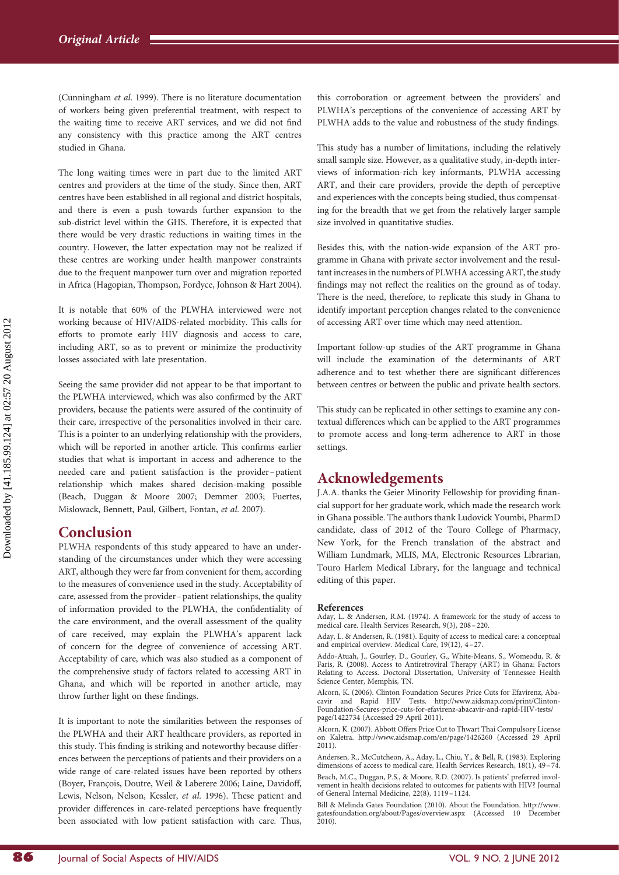(Cunningham et al. 1999). There is no literature documentation of workers being given preferential treatment, with respect to the waiting time to receive ART services, and we did not find any consistency with this practice among the ART centres studied in Ghana.

The long waiting times were in part due to the limited ART centres and providers at the time of the study. Since then, ART centres have been established in all regional and district hospitals, and there is even a push towards further expansion to the sub-district level within the GHS. Therefore, it is expected that there would be very drastic reductions in waiting times in the country. However, the latter expectation may not be realized if these centres are working under health manpower constraints due to the frequent manpower turn over and migration reported in Africa (Hagopian, Thompson, Fordyce, Johnson & Hart 2004).

It is notable that 60% of the PLWHA interviewed were not working because of HIV/AIDS-related morbidity. This calls for efforts to promote early HIV diagnosis and access to care, including ART, so as to prevent or minimize the productivity losses associated with late presentation.

Seeing the same provider did not appear to be that important to the PLWHA interviewed, which was also confirmed by the ART providers, because the patients were assured of the continuity of their care, irrespective of the personalities involved in their care. This is a pointer to an underlying relationship with the providers, which will be reported in another article. This confirms earlier studies that what is important in access and adherence to the needed care and patient satisfaction is the provider –patient relationship which makes shared decision-making possible (Beach, Duggan & Moore 2007; Demmer 2003; Fuertes, Mislowack, Bennett, Paul, Gilbert, Fontan, et al. 2007).

#### Conclusion

PLWHA respondents of this study appeared to have an understanding of the circumstances under which they were accessing ART, although they were far from convenient for them, according to the measures of convenience used in the study. Acceptability of care, assessed from the provider - patient relationships, the quality of information provided to the PLWHA, the confidentiality of the care environment, and the overall assessment of the quality of care received, may explain the PLWHA's apparent lack of concern for the degree of convenience of accessing ART. Acceptability of care, which was also studied as a component of the comprehensive study of factors related to accessing ART in Ghana, and which will be reported in another article, may throw further light on these findings.

It is important to note the similarities between the responses of the PLWHA and their ART healthcare providers, as reported in this study. This finding is striking and noteworthy because differences between the perceptions of patients and their providers on a wide range of care-related issues have been reported by others (Boyer, François, Doutre, Weil & Laberere 2006; Laine, Davidoff, Lewis, Nelson, Nelson, Kessler, et al. 1996). These patient and provider differences in care-related perceptions have frequently been associated with low patient satisfaction with care. Thus,

this corroboration or agreement between the providers' and PLWHA's perceptions of the convenience of accessing ART by PLWHA adds to the value and robustness of the study findings.

This study has a number of limitations, including the relatively small sample size. However, as a qualitative study, in-depth interviews of information-rich key informants, PLWHA accessing ART, and their care providers, provide the depth of perceptive and experiences with the concepts being studied, thus compensating for the breadth that we get from the relatively larger sample size involved in quantitative studies.

Besides this, with the nation-wide expansion of the ART programme in Ghana with private sector involvement and the resultant increases in the numbers of PLWHA accessing ART, the study findings may not reflect the realities on the ground as of today. There is the need, therefore, to replicate this study in Ghana to identify important perception changes related to the convenience of accessing ART over time which may need attention.

Important follow-up studies of the ART programme in Ghana will include the examination of the determinants of ART adherence and to test whether there are significant differences between centres or between the public and private health sectors.

This study can be replicated in other settings to examine any contextual differences which can be applied to the ART programmes to promote access and long-term adherence to ART in those settings.

## Acknowledgements

J.A.A. thanks the Geier Minority Fellowship for providing financial support for her graduate work, which made the research work in Ghana possible. The authors thank Ludovick Youmbi, PharmD candidate, class of 2012 of the Touro College of Pharmacy, New York, for the French translation of the abstract and William Lundmark, MLIS, MA, Electronic Resources Librarian, Touro Harlem Medical Library, for the language and technical editing of this paper.

#### References

Aday, L. & Andersen, R.M. (1974). A framework for the study of access to medical care. Health Services Research, 9(3), 208–220.

Aday, L. & Andersen, R. (1981). Equity of access to medical care: a conceptual and empirical overview. Medical Care, 19(12), 4–27.

Addo-Atuah, J., Gourley, D., Gourley, G., White-Means, S., Womeodu, R. & Faris, R. (2008). Access to Antiretroviral Therapy (ART) in Ghana: Factors Relating to Access. Doctoral Dissertation, University of Tennessee Health Science Center, Memphis, TN.

Alcorn, K. (2006). Clinton Foundation Secures Price Cuts for Efavirenz, Abacavir and Rapid HIV Tests. [http://www.aidsmap.com/print/Clinton-](http://www.aidsmap.com/print/Clinton-Foundation-Secures-price-cuts-for-efavirenz-abacavir-and-rapid-HIV-tests/page/1422734)[Foundation-Secures-price-cuts-for-efavirenz-abacavir-and-rapid-HIV-tests/](http://www.aidsmap.com/print/Clinton-Foundation-Secures-price-cuts-for-efavirenz-abacavir-and-rapid-HIV-tests/page/1422734) [page/1422734](http://www.aidsmap.com/print/Clinton-Foundation-Secures-price-cuts-for-efavirenz-abacavir-and-rapid-HIV-tests/page/1422734) (Accessed 29 April 2011).

Alcorn, K. (2007). Abbott Offers Price Cut to Thwart Thai Compulsory License on Kaletra.<http://www.aidsmap.com/en/page/1426260> (Accessed 29 April 2011).

Andersen, R., McCutcheon, A., Aday, L., Chiu, Y., & Bell, R. (1983). Exploring dimensions of access to medical care. Health Services Research, 18(1), 49–74. Beach, M.C., Duggan, P.S., & Moore, R.D. (2007). Is patients' preferred invol-vement in health decisions related to outcomes for patients with HIV? Journal of General Internal Medicine, 22(8), 1119 –1124.

Bill & Melinda Gates Foundation (2010). About the Foundation. [http://www.](http://www.gatesfoundation.org/about/Pages/overview.aspx) [gatesfoundation.org/about/Pages/overview.aspx](http://www.gatesfoundation.org/about/Pages/overview.aspx) (Accessed 10 December 2010).